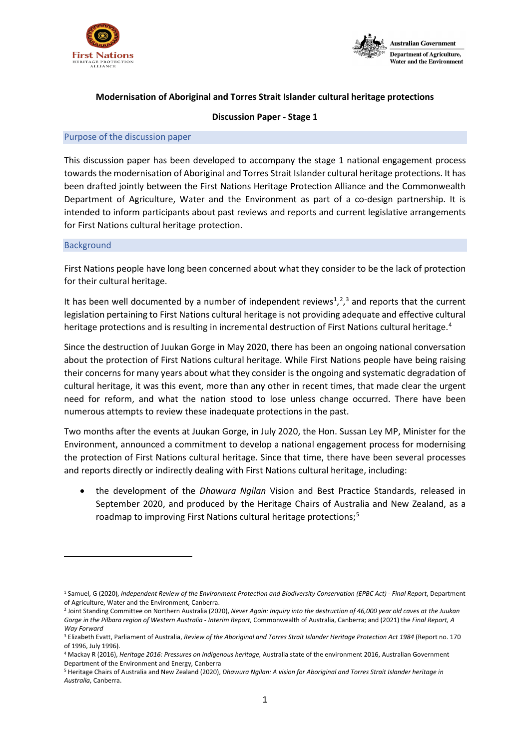



# **Modernisation of Aboriginal and Torres Strait Islander cultural heritage protections**

## **Discussion Paper - Stage 1**

### Purpose of the discussion paper

This discussion paper has been developed to accompany the stage 1 national engagement process towards the modernisation of Aboriginal and Torres Strait Islander cultural heritage protections. It has been drafted jointly between the First Nations Heritage Protection Alliance and the Commonwealth Department of Agriculture, Water and the Environment as part of a co-design partnership. It is intended to inform participants about past reviews and reports and current legislative arrangements for First Nations cultural heritage protection.

## <span id="page-0-5"></span>Background

First Nations people have long been concerned about what they consider to be the lack of protection for their cultural heritage.

It has been well documented by a number of independent reviews<sup>[1](#page-0-0)</sup>,<sup>[2](#page-0-1)</sup>,<sup>[3](#page-0-2)</sup> and reports that the current legislation pertaining to First Nations cultural heritage is not providing adequate and effective cultural heritage protections and is resulting in incremental destruction of First Nations cultural heritage.<sup>[4](#page-0-3)</sup>

Since the destruction of Juukan Gorge in May 2020, there has been an ongoing national conversation about the protection of First Nations cultural heritage. While First Nations people have being raising their concerns for many years about what they consider is the ongoing and systematic degradation of cultural heritage, it was this event, more than any other in recent times, that made clear the urgent need for reform, and what the nation stood to lose unless change occurred. There have been numerous attempts to review these inadequate protections in the past.

Two months after the events at Juukan Gorge, in July 2020, the Hon. Sussan Ley MP, Minister for the Environment, announced a commitment to develop a national engagement process for modernising the protection of First Nations cultural heritage. Since that time, there have been several processes and reports directly or indirectly dealing with First Nations cultural heritage, including:

• the development of the *Dhawura Ngilan* Vision and Best Practice Standards, released in September 2020, and produced by the Heritage Chairs of Australia and New Zealand, as a roadmap to improving First Nations cultural heritage protections;<sup>[5](#page-0-4)</sup>

<span id="page-0-0"></span><sup>1</sup> Samuel, G (2020), *Independent Review of the Environment Protection and Biodiversity Conservation (EPBC Act) - Final Report*, Department of Agriculture, Water and the Environment, Canberra.

<span id="page-0-1"></span><sup>2</sup> Joint Standing Committee on Northern Australia (2020), *Never Again: Inquiry into the destruction of 46,000 year old caves at the Juukan Gorge in the Pilbara region of Western Australia - Interim Report*, Commonwealth of Australia, Canberra; and (2021) the *Final Report, A Way Forward*

<span id="page-0-2"></span><sup>3</sup> Elizabeth Evatt, Parliament of Australia, *Review of the Aboriginal and Torres Strait Islander Heritage Protection Act 1984* (Report no. 170 of 1996, July 1996).

<span id="page-0-3"></span><sup>4</sup> Mackay R (2016), *Heritage 2016: Pressures on Indigenous heritage,* Australia state of the environment 2016, Australian Government Department of the Environment and Energy, Canberra

<span id="page-0-4"></span><sup>5</sup> Heritage Chairs of Australia and New Zealand (2020), *Dhawura Ngilan: A vision for Aboriginal and Torres Strait Islander heritage in Australia*, Canberra.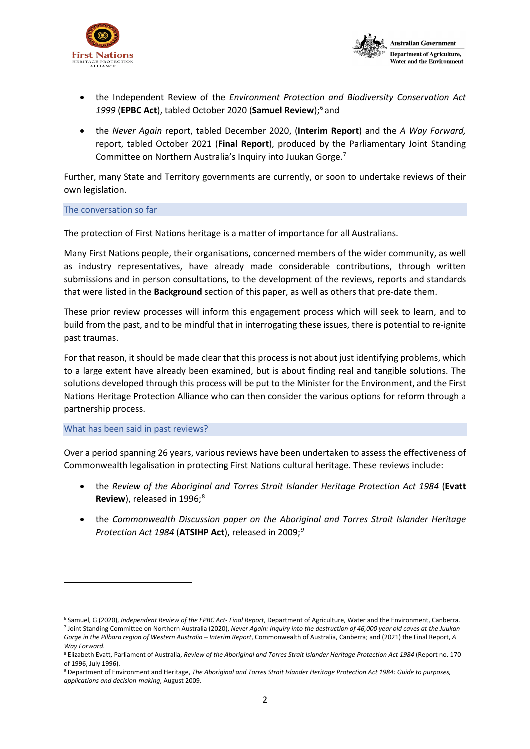



- the Independent Review of the *Environment Protection and Biodiversity Conservation Act*  1999 (**EPBC Act**), tabled October 2020 (Samuel Review);<sup>[6](#page-1-0)</sup> and
- the *Never Again* report, tabled December 2020, (**Interim Report**) and the *A Way Forward,* report, tabled October 2021 (**Final Report**), produced by the Parliamentary Joint Standing Committee on Northern Australia's Inquiry into Juukan Gorge[.7](#page-1-1)

Further, many State and Territory governments are currently, or soon to undertake reviews of their own legislation.

### The conversation so far

The protection of First Nations heritage is a matter of importance for all Australians.

Many First Nations people, their organisations, concerned members of the wider community, as well as industry representatives, have already made considerable contributions, through written submissions and in person consultations, to the development of the reviews, reports and standards that were listed in the **[Background](#page-0-5)** section of this paper, as well as others that pre-date them.

These prior review processes will inform this engagement process which will seek to learn, and to build from the past, and to be mindful that in interrogating these issues, there is potential to re-ignite past traumas.

For that reason, it should be made clear that this process is not about just identifying problems, which to a large extent have already been examined, but is about finding real and tangible solutions. The solutions developed through this process will be put to the Minister for the Environment, and the First Nations Heritage Protection Alliance who can then consider the various options for reform through a partnership process.

### What has been said in past reviews?

Over a period spanning 26 years, various reviews have been undertaken to assess the effectiveness of Commonwealth legalisation in protecting First Nations cultural heritage. These reviews include:

- the *Review of the Aboriginal and Torres Strait Islander Heritage Protection Act 1984* (**Evatt Review**), released in 1996;<sup>[8](#page-1-2)</sup>
- the *Commonwealth Discussion paper on the Aboriginal and Torres Strait Islander Heritage Protection Act 1984* (**ATSIHP Act**), released in 2009;*[9](#page-1-3)*

<span id="page-1-1"></span><span id="page-1-0"></span><sup>6</sup> Samuel, G (2020), *Independent Review of the EPBC Act- Final Report*, Department of Agriculture, Water and the Environment, Canberra. <sup>7</sup> Joint Standing Committee on Northern Australia (2020), *Never Again: Inquiry into the destruction of 46,000 year old caves at the Juukan Gorge in the Pilbara region of Western Australia – Interim Report*, Commonwealth of Australia, Canberra; and (2021) the Final Report, *A Way Forward*.

<span id="page-1-2"></span><sup>8</sup> Elizabeth Evatt, Parliament of Australia, *Review of the Aboriginal and Torres Strait Islander Heritage Protection Act 1984* (Report no. 170 of 1996, July 1996).

<span id="page-1-3"></span><sup>9</sup> Department of Environment and Heritage, *The Aboriginal and Torres Strait Islander Heritage Protection Act 1984: Guide to purposes, applications and decision-making*, August 2009.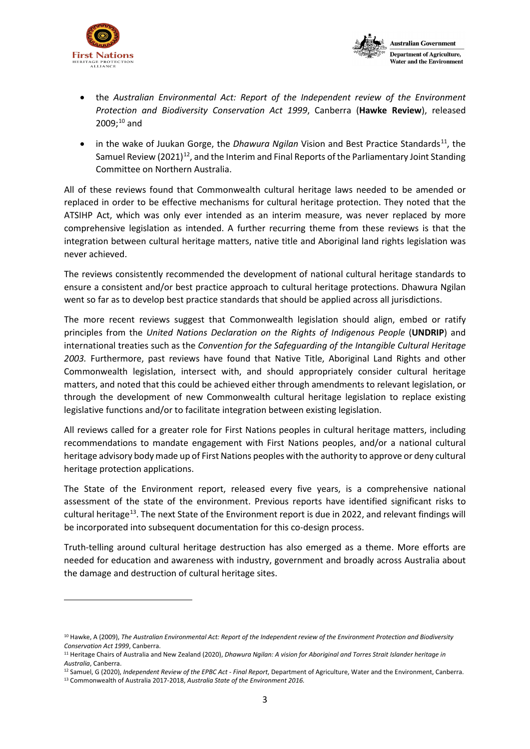



- the *Australian Environmental Act: Report of the Independent review of the Environment Protection and Biodiversity Conservation Act 1999*, Canberra (**Hawke Review**), released  $2009;^{10}$  $2009;^{10}$  $2009;^{10}$  and
- in the wake of Juukan Gorge, the *Dhawura Ngilan* Vision and Best Practice Standards<sup>[11](#page-2-1)</sup>, the Samuel Review  $(2021)^{12}$  $(2021)^{12}$  $(2021)^{12}$ , and the Interim and Final Reports of the Parliamentary Joint Standing Committee on Northern Australia.

All of these reviews found that Commonwealth cultural heritage laws needed to be amended or replaced in order to be effective mechanisms for cultural heritage protection. They noted that the ATSIHP Act, which was only ever intended as an interim measure, was never replaced by more comprehensive legislation as intended. A further recurring theme from these reviews is that the integration between cultural heritage matters, native title and Aboriginal land rights legislation was never achieved.

The reviews consistently recommended the development of national cultural heritage standards to ensure a consistent and/or best practice approach to cultural heritage protections. Dhawura Ngilan went so far as to develop best practice standards that should be applied across all jurisdictions.

The more recent reviews suggest that Commonwealth legislation should align, embed or ratify principles from the *United Nations Declaration on the Rights of Indigenous People* (**UNDRIP**) and international treaties such as the *Convention for the Safeguarding of the Intangible Cultural Heritage 2003.* Furthermore, past reviews have found that Native Title, Aboriginal Land Rights and other Commonwealth legislation, intersect with, and should appropriately consider cultural heritage matters, and noted that this could be achieved either through amendments to relevant legislation, or through the development of new Commonwealth cultural heritage legislation to replace existing legislative functions and/or to facilitate integration between existing legislation.

All reviews called for a greater role for First Nations peoples in cultural heritage matters, including recommendations to mandate engagement with First Nations peoples, and/or a national cultural heritage advisory body made up of First Nations peoples with the authority to approve or deny cultural heritage protection applications.

The State of the Environment report, released every five years, is a comprehensive national assessment of the state of the environment. Previous reports have identified significant risks to cultural heritage<sup>[13](#page-2-3)</sup>. The next State of the Environment report is due in 2022, and relevant findings will be incorporated into subsequent documentation for this co-design process.

Truth-telling around cultural heritage destruction has also emerged as a theme. More efforts are needed for education and awareness with industry, government and broadly across Australia about the damage and destruction of cultural heritage sites.

<span id="page-2-0"></span><sup>10</sup> Hawke, A (2009), *The Australian Environmental Act: Report of the Independent review of the Environment Protection and Biodiversity Conservation Act 1999*, Canberra.

<span id="page-2-1"></span><sup>11</sup> Heritage Chairs of Australia and New Zealand (2020), *Dhawura Ngilan: A vision for Aboriginal and Torres Strait Islander heritage in Australia*, Canberra.

<span id="page-2-3"></span><span id="page-2-2"></span><sup>12</sup> Samuel, G (2020), *Independent Review of the EPBC Act - Final Report*, Department of Agriculture, Water and the Environment, Canberra. <sup>13</sup> Commonwealth of Australia 2017-2018, *Australia State of the Environment 2016.*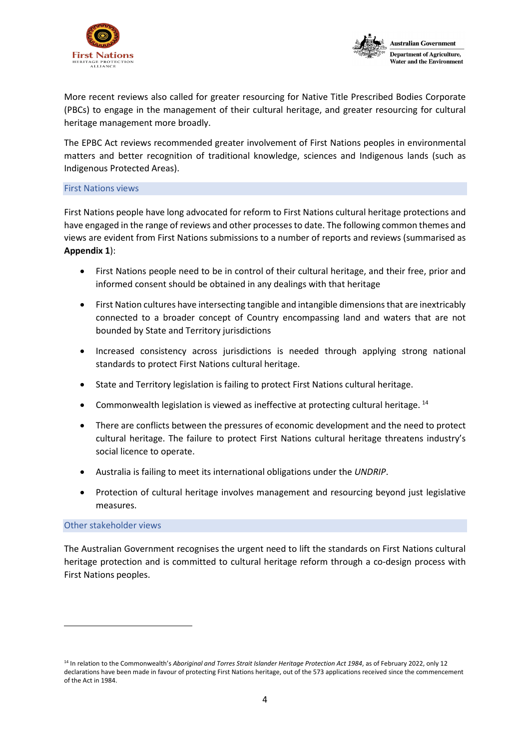



More recent reviews also called for greater resourcing for Native Title Prescribed Bodies Corporate (PBCs) to engage in the management of their cultural heritage, and greater resourcing for cultural heritage management more broadly.

The EPBC Act reviews recommended greater involvement of First Nations peoples in environmental matters and better recognition of traditional knowledge, sciences and Indigenous lands (such as Indigenous Protected Areas).

## First Nations views

First Nations people have long advocated for reform to First Nations cultural heritage protections and have engaged in the range of reviews and other processes to date. The following common themes and views are evident from First Nations submissions to a number of reports and reviews (summarised as **Appendix 1**):

- First Nations people need to be in control of their cultural heritage, and their free, prior and informed consent should be obtained in any dealings with that heritage
- First Nation cultures have intersecting tangible and intangible dimensions that are inextricably connected to a broader concept of Country encompassing land and waters that are not bounded by State and Territory jurisdictions
- Increased consistency across jurisdictions is needed through applying strong national standards to protect First Nations cultural heritage.
- State and Territory legislation is failing to protect First Nations cultural heritage.
- Commonwealth legislation is viewed as ineffective at protecting cultural heritage. <sup>[14](#page-3-0)</sup>
- There are conflicts between the pressures of economic development and the need to protect cultural heritage. The failure to protect First Nations cultural heritage threatens industry's social licence to operate.
- Australia is failing to meet its international obligations under the *UNDRIP*.
- Protection of cultural heritage involves management and resourcing beyond just legislative measures.

# Other stakeholder views

The Australian Government recognises the urgent need to lift the standards on First Nations cultural heritage protection and is committed to cultural heritage reform through a co-design process with First Nations peoples.

<span id="page-3-0"></span><sup>14</sup> In relation to the Commonwealth's Aboriginal and Torres Strait Islander Heritage Protection Act 1984, as of February 2022, only 12 declarations have been made in favour of protecting First Nations heritage, out of the 573 applications received since the commencement of the Act in 1984.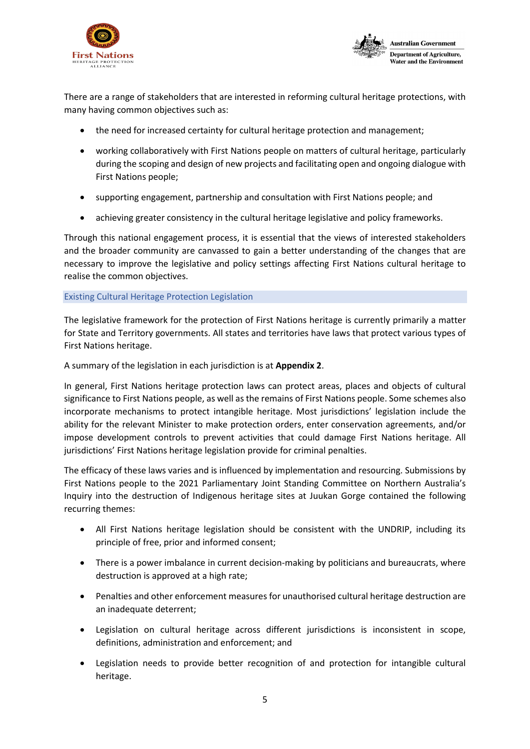



There are a range of stakeholders that are interested in reforming cultural heritage protections, with many having common objectives such as:

- the need for increased certainty for cultural heritage protection and management;
- working collaboratively with First Nations people on matters of cultural heritage, particularly during the scoping and design of new projects and facilitating open and ongoing dialogue with First Nations people;
- supporting engagement, partnership and consultation with First Nations people; and
- achieving greater consistency in the cultural heritage legislative and policy frameworks.

Through this national engagement process, it is essential that the views of interested stakeholders and the broader community are canvassed to gain a better understanding of the changes that are necessary to improve the legislative and policy settings affecting First Nations cultural heritage to realise the common objectives.

Existing Cultural Heritage Protection Legislation

The legislative framework for the protection of First Nations heritage is currently primarily a matter for State and Territory governments. All states and territories have laws that protect various types of First Nations heritage.

A summary of the legislation in each jurisdiction is at **[Appendix 2](#page-17-0)**.

In general, First Nations heritage protection laws can protect areas, places and objects of cultural significance to First Nations people, as well as the remains of First Nations people. Some schemes also incorporate mechanisms to protect intangible heritage. Most jurisdictions' legislation include the ability for the relevant Minister to make protection orders, enter conservation agreements, and/or impose development controls to prevent activities that could damage First Nations heritage. All jurisdictions' First Nations heritage legislation provide for criminal penalties.

The efficacy of these laws varies and is influenced by implementation and resourcing. Submissions by First Nations people to the 2021 Parliamentary Joint Standing Committee on Northern Australia's Inquiry into the destruction of Indigenous heritage sites at Juukan Gorge contained the following recurring themes:

- All First Nations heritage legislation should be consistent with the UNDRIP, including its principle of free, prior and informed consent;
- There is a power imbalance in current decision-making by politicians and bureaucrats, where destruction is approved at a high rate;
- Penalties and other enforcement measures for unauthorised cultural heritage destruction are an inadequate deterrent;
- Legislation on cultural heritage across different jurisdictions is inconsistent in scope, definitions, administration and enforcement; and
- Legislation needs to provide better recognition of and protection for intangible cultural heritage.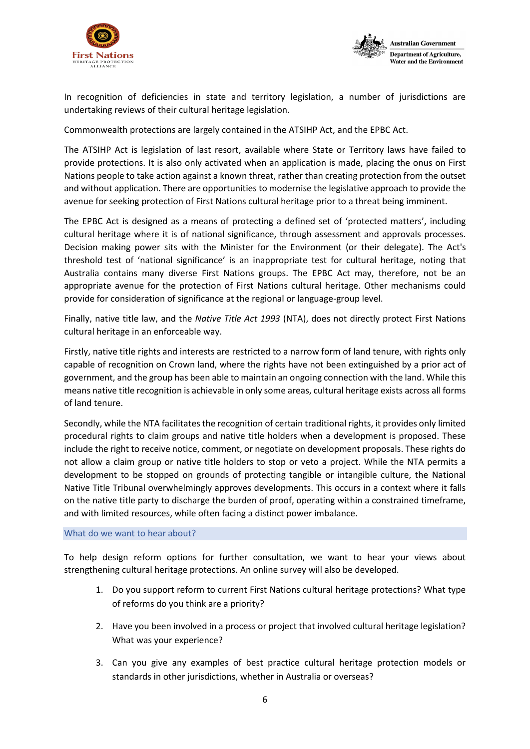



In recognition of deficiencies in state and territory legislation, a number of jurisdictions are undertaking reviews of their cultural heritage legislation.

Commonwealth protections are largely contained in the ATSIHP Act, and the EPBC Act.

The ATSIHP Act is legislation of last resort, available where State or Territory laws have failed to provide protections. It is also only activated when an application is made, placing the onus on First Nations people to take action against a known threat, rather than creating protection from the outset and without application. There are opportunities to modernise the legislative approach to provide the avenue for seeking protection of First Nations cultural heritage prior to a threat being imminent.

The EPBC Act is designed as a means of protecting a defined set of 'protected matters', including cultural heritage where it is of national significance, through assessment and approvals processes. Decision making power sits with the Minister for the Environment (or their delegate). The Act's threshold test of 'national significance' is an inappropriate test for cultural heritage, noting that Australia contains many diverse First Nations groups. The EPBC Act may, therefore, not be an appropriate avenue for the protection of First Nations cultural heritage. Other mechanisms could provide for consideration of significance at the regional or language-group level.

Finally, native title law, and the *Native Title Act 1993* (NTA), does not directly protect First Nations cultural heritage in an enforceable way.

Firstly, native title rights and interests are restricted to a narrow form of land tenure, with rights only capable of recognition on Crown land, where the rights have not been extinguished by a prior act of government, and the group has been able to maintain an ongoing connection with the land. While this means native title recognition is achievable in only some areas, cultural heritage exists across all forms of land tenure.

Secondly, while the NTA facilitates the recognition of certain traditional rights, it provides only limited procedural rights to claim groups and native title holders when a development is proposed. These include the right to receive notice, comment, or negotiate on development proposals. These rights do not allow a claim group or native title holders to stop or veto a project. While the NTA permits a development to be stopped on grounds of protecting tangible or intangible culture, the National Native Title Tribunal overwhelmingly approves developments. This occurs in a context where it falls on the native title party to discharge the burden of proof, operating within a constrained timeframe, and with limited resources, while often facing a distinct power imbalance.

### What do we want to hear about?

To help design reform options for further consultation, we want to hear your views about strengthening cultural heritage protections. An online survey will also be developed.

- 1. Do you support reform to current First Nations cultural heritage protections? What type of reforms do you think are a priority?
- 2. Have you been involved in a process or project that involved cultural heritage legislation? What was your experience?
- 3. Can you give any examples of best practice cultural heritage protection models or standards in other jurisdictions, whether in Australia or overseas?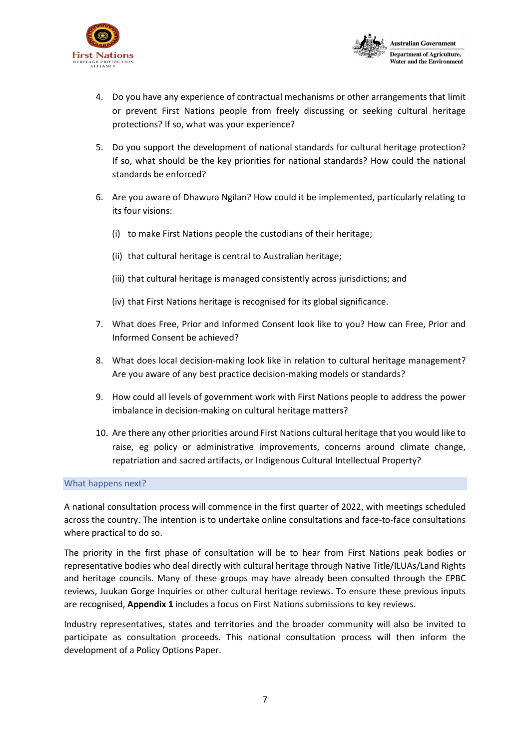



- 4. Do you have any experience of contractual mechanisms or other arrangements that limit or prevent First Nations people from freely discussing or seeking cultural heritage protections? If so, what was your experience?
- 5. Do you support the development of national standards for cultural heritage protection? If so, what should be the key priorities for national standards? How could the national standards be enforced?
- 6. Are you aware of Dhawura Ngilan? How could it be implemented, particularly relating to its four visions:
	- (i) to make First Nations people the custodians of their heritage;
	- (ii) that cultural heritage is central to Australian heritage;
	- (iii) that cultural heritage is managed consistently across jurisdictions; and
	- (iv) that First Nations heritage is recognised for its global significance.
- 7. What does Free, Prior and Informed Consent look like to you? How can Free, Prior and Informed Consent be achieved?
- 8. What does local decision-making look like in relation to cultural heritage management? Are you aware of any best practice decision-making models or standards?
- 9. How could all levels of government work with First Nations people to address the power imbalance in decision-making on cultural heritage matters?
- 10. Are there any other priorities around First Nations cultural heritage that you would like to raise, eg policy or administrative improvements, concerns around climate change, repatriation and sacred artifacts, or Indigenous Cultural Intellectual Property?

### What happens next?

A national consultation process will commence in the first quarter of 2022, with meetings scheduled across the country. The intention is to undertake online consultations and face-to-face consultations where practical to do so.

The priority in the first phase of consultation will be to hear from First Nations peak bodies or representative bodies who deal directly with cultural heritage through Native Title/ILUAs/Land Rights and heritage councils. Many of these groups may have already been consulted through the EPBC reviews, Juukan Gorge Inquiries or other cultural heritage reviews. To ensure these previous inputs are recognised, **[Appendix 1](#page-7-0)** includes a focus on First Nations submissions to key reviews.

Industry representatives, states and territories and the broader community will also be invited to participate as consultation proceeds. This national consultation process will then inform the development of a Policy Options Paper.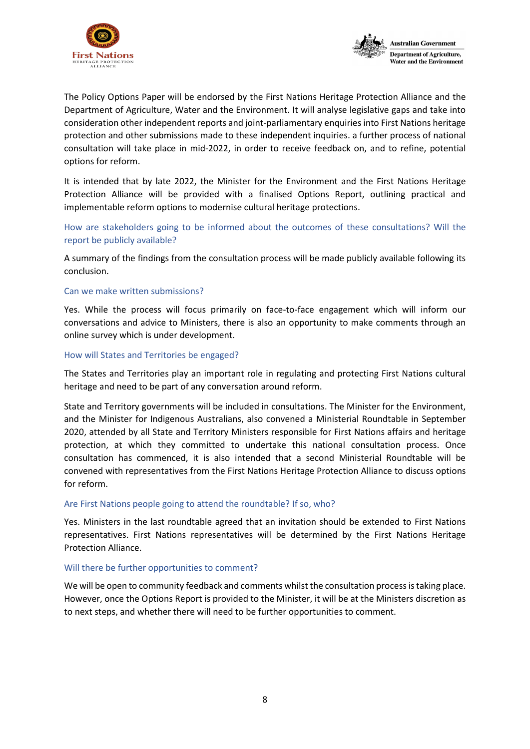



The Policy Options Paper will be endorsed by the First Nations Heritage Protection Alliance and the Department of Agriculture, Water and the Environment. It will analyse legislative gaps and take into consideration other independent reports and joint-parliamentary enquiries into First Nations heritage protection and other submissions made to these independent inquiries. a further process of national consultation will take place in mid-2022, in order to receive feedback on, and to refine, potential options for reform.

It is intended that by late 2022, the Minister for the Environment and the First Nations Heritage Protection Alliance will be provided with a finalised Options Report, outlining practical and implementable reform options to modernise cultural heritage protections.

How are stakeholders going to be informed about the outcomes of these consultations? Will the report be publicly available?

A summary of the findings from the consultation process will be made publicly available following its conclusion.

# Can we make written submissions?

Yes. While the process will focus primarily on face-to-face engagement which will inform our conversations and advice to Ministers, there is also an opportunity to make comments through an online survey which is under development.

## How will States and Territories be engaged?

The States and Territories play an important role in regulating and protecting First Nations cultural heritage and need to be part of any conversation around reform.

State and Territory governments will be included in consultations. The Minister for the Environment, and the Minister for Indigenous Australians, also convened a Ministerial Roundtable in September 2020, attended by all State and Territory Ministers responsible for First Nations affairs and heritage protection, at which they committed to undertake this national consultation process. Once consultation has commenced, it is also intended that a second Ministerial Roundtable will be convened with representatives from the First Nations Heritage Protection Alliance to discuss options for reform.

# Are First Nations people going to attend the roundtable? If so, who?

Yes. Ministers in the last roundtable agreed that an invitation should be extended to First Nations representatives. First Nations representatives will be determined by the First Nations Heritage Protection Alliance.

### Will there be further opportunities to comment?

<span id="page-7-0"></span>We will be open to community feedback and comments whilst the consultation process is taking place. However, once the Options Report is provided to the Minister, it will be at the Ministers discretion as to next steps, and whether there will need to be further opportunities to comment.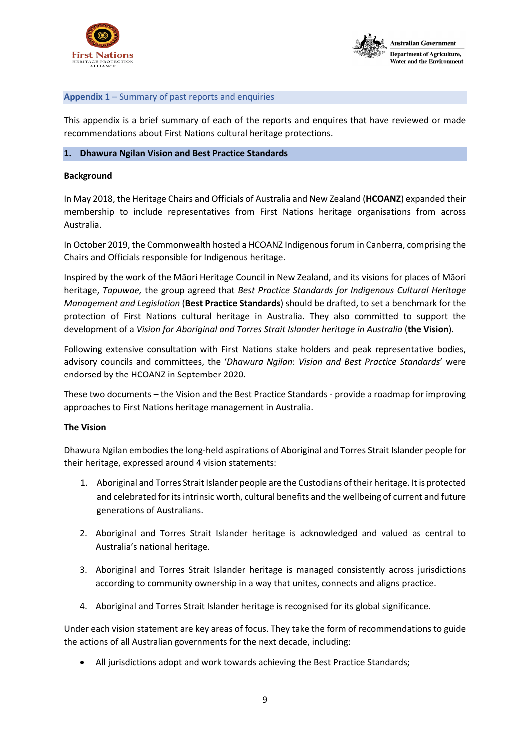



## **Appendix 1** – Summary of past reports and enquiries

This appendix is a brief summary of each of the reports and enquires that have reviewed or made recommendations about First Nations cultural heritage protections.

### **1. Dhawura Ngilan Vision and Best Practice Standards**

### **Background**

In May 2018, the Heritage Chairs and Officials of Australia and New Zealand (**HCOANZ**) expanded their membership to include representatives from First Nations heritage organisations from across Australia.

In October 2019, the Commonwealth hosted a HCOANZ Indigenous forum in Canberra, comprising the Chairs and Officials responsible for Indigenous heritage.

Inspired by the work of the Māori Heritage Council in New Zealand, and its visions for places of Māori heritage, *Tapuwae,* the group agreed that *Best Practice Standards for Indigenous Cultural Heritage Management and Legislation* (**Best Practice Standards**) should be drafted, to set a benchmark for the protection of First Nations cultural heritage in Australia. They also committed to support the development of a *Vision for Aboriginal and Torres Strait Islander heritage in Australia* (**the Vision**).

Following extensive consultation with First Nations stake holders and peak representative bodies, advisory councils and committees, the '*Dhawura Ngilan*: *Vision and Best Practice Standards*' were endorsed by the HCOANZ in September 2020.

These two documents – the Vision and the Best Practice Standards - provide a roadmap for improving approaches to First Nations heritage management in Australia.

# **The Vision**

Dhawura Ngilan embodies the long-held aspirations of Aboriginal and Torres Strait Islander people for their heritage, expressed around 4 vision statements:

- 1. Aboriginal and Torres Strait Islander people are the Custodians of their heritage. It is protected and celebrated for its intrinsic worth, cultural benefits and the wellbeing of current and future generations of Australians.
- 2. Aboriginal and Torres Strait Islander heritage is acknowledged and valued as central to Australia's national heritage.
- 3. Aboriginal and Torres Strait Islander heritage is managed consistently across jurisdictions according to community ownership in a way that unites, connects and aligns practice.
- 4. Aboriginal and Torres Strait Islander heritage is recognised for its global significance.

Under each vision statement are key areas of focus. They take the form of recommendations to guide the actions of all Australian governments for the next decade, including:

• All jurisdictions adopt and work towards achieving the Best Practice Standards;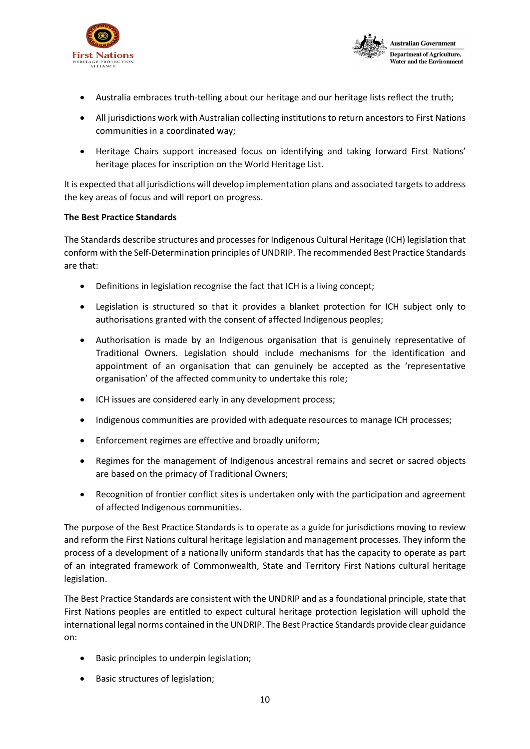



- Australia embraces truth-telling about our heritage and our heritage lists reflect the truth;
- All jurisdictions work with Australian collecting institutions to return ancestors to First Nations communities in a coordinated way;
- Heritage Chairs support increased focus on identifying and taking forward First Nations' heritage places for inscription on the World Heritage List.

It is expected that all jurisdictions will develop implementation plans and associated targets to address the key areas of focus and will report on progress.

# **The Best Practice Standards**

The Standards describe structures and processes for Indigenous Cultural Heritage (ICH) legislation that conform with the Self-Determination principles of UNDRIP. The recommended Best Practice Standards are that:

- Definitions in legislation recognise the fact that ICH is a living concept;
- Legislation is structured so that it provides a blanket protection for ICH subject only to authorisations granted with the consent of affected Indigenous peoples;
- Authorisation is made by an Indigenous organisation that is genuinely representative of Traditional Owners. Legislation should include mechanisms for the identification and appointment of an organisation that can genuinely be accepted as the 'representative organisation' of the affected community to undertake this role;
- ICH issues are considered early in any development process;
- Indigenous communities are provided with adequate resources to manage ICH processes;
- Enforcement regimes are effective and broadly uniform;
- Regimes for the management of Indigenous ancestral remains and secret or sacred objects are based on the primacy of Traditional Owners;
- Recognition of frontier conflict sites is undertaken only with the participation and agreement of affected Indigenous communities.

The purpose of the Best Practice Standards is to operate as a guide for jurisdictions moving to review and reform the First Nations cultural heritage legislation and management processes. They inform the process of a development of a nationally uniform standards that has the capacity to operate as part of an integrated framework of Commonwealth, State and Territory First Nations cultural heritage legislation.

The Best Practice Standards are consistent with the UNDRIP and as a foundational principle, state that First Nations peoples are entitled to expect cultural heritage protection legislation will uphold the international legal norms contained in the UNDRIP. The Best Practice Standards provide clear guidance on:

- Basic principles to underpin legislation;
- Basic structures of legislation;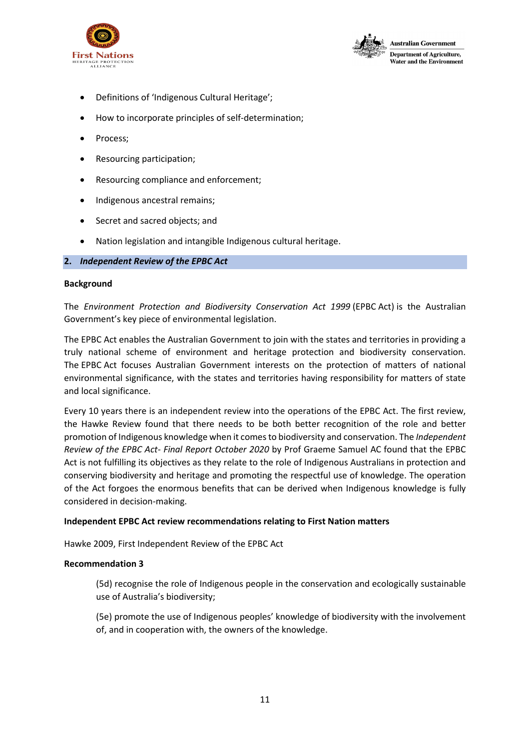



- Definitions of 'Indigenous Cultural Heritage';
- How to incorporate principles of self-determination;
- Process;
- Resourcing participation;
- Resourcing compliance and enforcement;
- Indigenous ancestral remains;
- Secret and sacred objects; and
- Nation legislation and intangible Indigenous cultural heritage.

## **2.** *Independent Review of the EPBC Act*

### **Background**

The *Environment Protection and Biodiversity Conservation Act 1999* (EPBC Act) is the Australian Government's key piece of environmental legislation.

The EPBC Act enables the Australian Government to join with the states and territories in providing a truly national scheme of environment and heritage protection and biodiversity conservation. The EPBC Act focuses Australian Government interests on the protection of matters of national environmental significance, with the states and territories having responsibility for matters of state and local significance.

Every 10 years there is an independent review into the operations of the EPBC Act. The first review, the Hawke Review found that there needs to be both better recognition of the role and better promotion of Indigenous knowledge when it comes to biodiversity and conservation. The *Independent Review of the EPBC Act- Final Report October 2020* by Prof Graeme Samuel AC found that the EPBC Act is not fulfilling its objectives as they relate to the role of Indigenous Australians in protection and conserving biodiversity and heritage and promoting the respectful use of knowledge. The operation of the Act forgoes the enormous benefits that can be derived when Indigenous knowledge is fully considered in decision-making.

# **Independent EPBC Act review recommendations relating to First Nation matters**

Hawke 2009, First Independent Review of the EPBC Act

### **Recommendation 3**

(5d) recognise the role of Indigenous people in the conservation and ecologically sustainable use of Australia's biodiversity;

(5e) promote the use of Indigenous peoples' knowledge of biodiversity with the involvement of, and in cooperation with, the owners of the knowledge.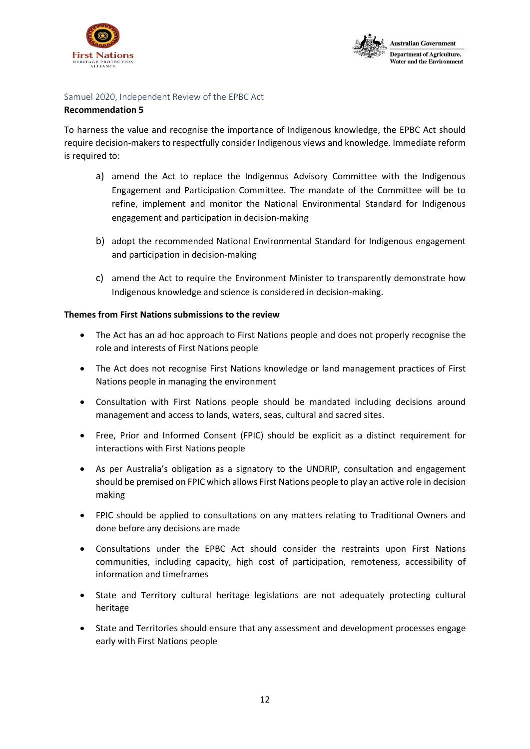



# Samuel 2020, Independent Review of the EPBC Act

# **Recommendation 5**

To harness the value and recognise the importance of Indigenous knowledge, the EPBC Act should require decision-makers to respectfully consider Indigenous views and knowledge. Immediate reform is required to:

- a) amend the Act to replace the Indigenous Advisory Committee with the Indigenous Engagement and Participation Committee. The mandate of the Committee will be to refine, implement and monitor the National Environmental Standard for Indigenous engagement and participation in decision-making
- b) adopt the recommended National Environmental Standard for Indigenous engagement and participation in decision-making
- c) amend the Act to require the Environment Minister to transparently demonstrate how Indigenous knowledge and science is considered in decision-making.

# **Themes from First Nations submissions to the review**

- The Act has an ad hoc approach to First Nations people and does not properly recognise the role and interests of First Nations people
- The Act does not recognise First Nations knowledge or land management practices of First Nations people in managing the environment
- Consultation with First Nations people should be mandated including decisions around management and access to lands, waters, seas, cultural and sacred sites.
- Free, Prior and Informed Consent (FPIC) should be explicit as a distinct requirement for interactions with First Nations people
- As per Australia's obligation as a signatory to the UNDRIP, consultation and engagement should be premised on FPIC which allows First Nations people to play an active role in decision making
- FPIC should be applied to consultations on any matters relating to Traditional Owners and done before any decisions are made
- Consultations under the EPBC Act should consider the restraints upon First Nations communities, including capacity, high cost of participation, remoteness, accessibility of information and timeframes
- State and Territory cultural heritage legislations are not adequately protecting cultural heritage
- State and Territories should ensure that any assessment and development processes engage early with First Nations people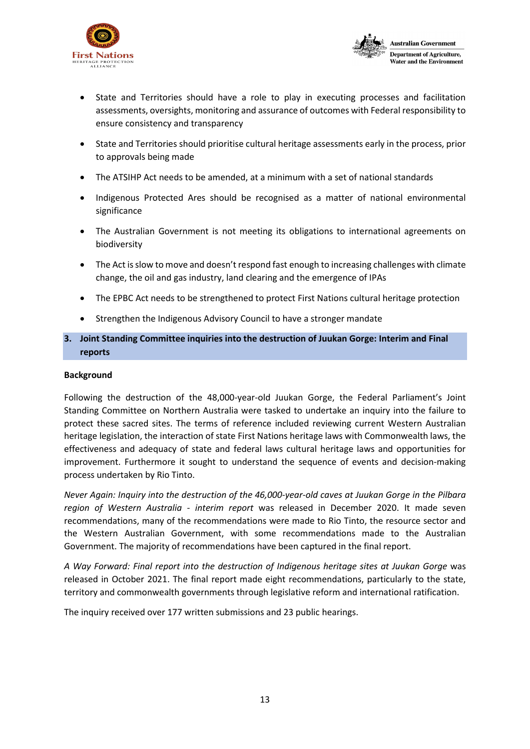



- State and Territories should have a role to play in executing processes and facilitation assessments, oversights, monitoring and assurance of outcomes with Federal responsibility to ensure consistency and transparency
- State and Territories should prioritise cultural heritage assessments early in the process, prior to approvals being made
- The ATSIHP Act needs to be amended, at a minimum with a set of national standards
- Indigenous Protected Ares should be recognised as a matter of national environmental significance
- The Australian Government is not meeting its obligations to international agreements on biodiversity
- The Act is slow to move and doesn't respond fast enough to increasing challenges with climate change, the oil and gas industry, land clearing and the emergence of IPAs
- The EPBC Act needs to be strengthened to protect First Nations cultural heritage protection
- Strengthen the Indigenous Advisory Council to have a stronger mandate

# **3. Joint Standing Committee inquiries into the destruction of Juukan Gorge: Interim and Final reports**

## **Background**

Following the destruction of the 48,000-year-old Juukan Gorge, the Federal Parliament's Joint Standing Committee on Northern Australia were tasked to undertake an inquiry into the failure to protect these sacred sites. The terms of reference included reviewing current Western Australian heritage legislation, the interaction of state First Nations heritage laws with Commonwealth laws, the effectiveness and adequacy of state and federal laws cultural heritage laws and opportunities for improvement. Furthermore it sought to understand the sequence of events and decision-making process undertaken by Rio Tinto.

*Never Again: Inquiry into the destruction of the 46,000-year-old caves at Juukan Gorge in the Pilbara region of Western Australia - interim report* was released in December 2020. It made seven recommendations, many of the recommendations were made to Rio Tinto, the resource sector and the Western Australian Government, with some recommendations made to the Australian Government. The majority of recommendations have been captured in the final report.

*A Way Forward: Final report into the destruction of Indigenous heritage sites at Juukan Gorge* was released in October 2021. The final report made eight recommendations, particularly to the state, territory and commonwealth governments through legislative reform and international ratification.

The inquiry received over 177 written submissions and 23 public hearings.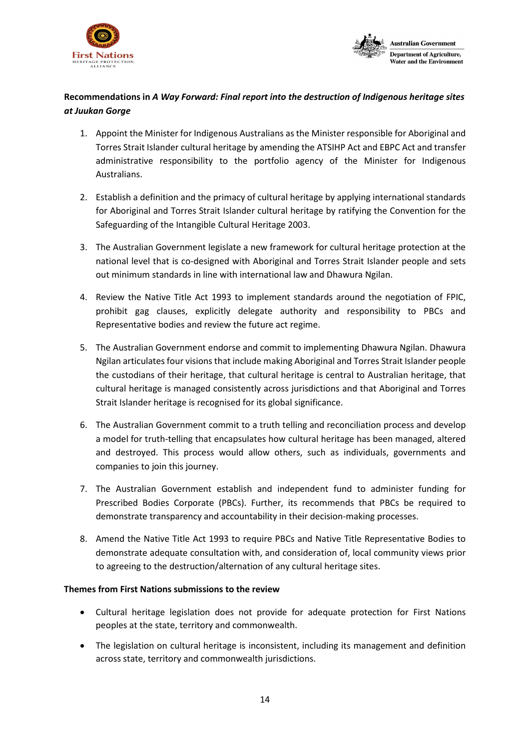



# **Recommendations in** *A Way Forward: Final report into the destruction of Indigenous heritage sites at Juukan Gorge*

- 1. Appoint the Minister for Indigenous Australians as the Minister responsible for Aboriginal and Torres Strait Islander cultural heritage by amending the ATSIHP Act and EBPC Act and transfer administrative responsibility to the portfolio agency of the Minister for Indigenous Australians.
- 2. Establish a definition and the primacy of cultural heritage by applying international standards for Aboriginal and Torres Strait Islander cultural heritage by ratifying the Convention for the Safeguarding of the Intangible Cultural Heritage 2003.
- 3. The Australian Government legislate a new framework for cultural heritage protection at the national level that is co-designed with Aboriginal and Torres Strait Islander people and sets out minimum standards in line with international law and Dhawura Ngilan.
- 4. Review the Native Title Act 1993 to implement standards around the negotiation of FPIC, prohibit gag clauses, explicitly delegate authority and responsibility to PBCs and Representative bodies and review the future act regime.
- 5. The Australian Government endorse and commit to implementing Dhawura Ngilan. Dhawura Ngilan articulates four visions that include making Aboriginal and Torres Strait Islander people the custodians of their heritage, that cultural heritage is central to Australian heritage, that cultural heritage is managed consistently across jurisdictions and that Aboriginal and Torres Strait Islander heritage is recognised for its global significance.
- 6. The Australian Government commit to a truth telling and reconciliation process and develop a model for truth-telling that encapsulates how cultural heritage has been managed, altered and destroyed. This process would allow others, such as individuals, governments and companies to join this journey.
- 7. The Australian Government establish and independent fund to administer funding for Prescribed Bodies Corporate (PBCs). Further, its recommends that PBCs be required to demonstrate transparency and accountability in their decision-making processes.
- 8. Amend the Native Title Act 1993 to require PBCs and Native Title Representative Bodies to demonstrate adequate consultation with, and consideration of, local community views prior to agreeing to the destruction/alternation of any cultural heritage sites.

# **Themes from First Nations submissions to the review**

- Cultural heritage legislation does not provide for adequate protection for First Nations peoples at the state, territory and commonwealth.
- The legislation on cultural heritage is inconsistent, including its management and definition across state, territory and commonwealth jurisdictions.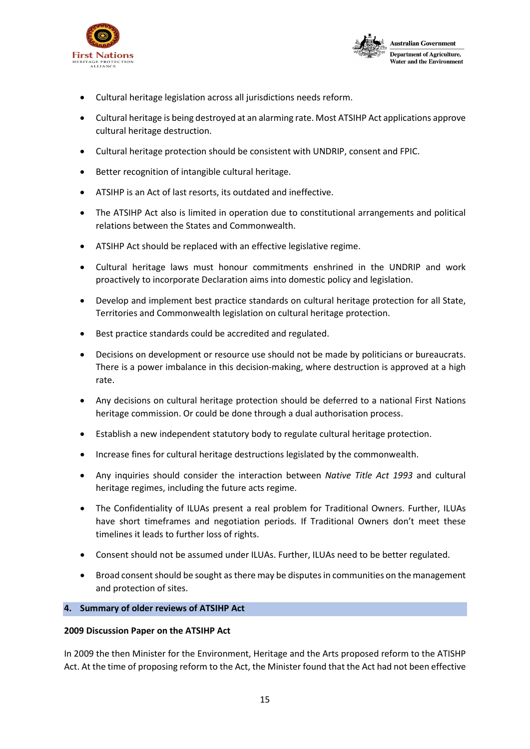



- Cultural heritage legislation across all jurisdictions needs reform.
- Cultural heritage is being destroyed at an alarming rate. Most ATSIHP Act applications approve cultural heritage destruction.
- Cultural heritage protection should be consistent with UNDRIP, consent and FPIC.
- Better recognition of intangible cultural heritage.
- ATSIHP is an Act of last resorts, its outdated and ineffective.
- The ATSIHP Act also is limited in operation due to constitutional arrangements and political relations between the States and Commonwealth.
- ATSIHP Act should be replaced with an effective legislative regime.
- Cultural heritage laws must honour commitments enshrined in the UNDRIP and work proactively to incorporate Declaration aims into domestic policy and legislation.
- Develop and implement best practice standards on cultural heritage protection for all State, Territories and Commonwealth legislation on cultural heritage protection.
- Best practice standards could be accredited and regulated.
- Decisions on development or resource use should not be made by politicians or bureaucrats. There is a power imbalance in this decision-making, where destruction is approved at a high rate.
- Any decisions on cultural heritage protection should be deferred to a national First Nations heritage commission. Or could be done through a dual authorisation process.
- Establish a new independent statutory body to regulate cultural heritage protection.
- Increase fines for cultural heritage destructions legislated by the commonwealth.
- Any inquiries should consider the interaction between *Native Title Act 1993* and cultural heritage regimes, including the future acts regime.
- The Confidentiality of ILUAs present a real problem for Traditional Owners. Further, ILUAs have short timeframes and negotiation periods. If Traditional Owners don't meet these timelines it leads to further loss of rights.
- Consent should not be assumed under ILUAs. Further, ILUAs need to be better regulated.
- Broad consent should be sought as there may be disputes in communities on the management and protection of sites.

# **4. Summary of older reviews of ATSIHP Act**

# **2009 Discussion Paper on the ATSIHP Act**

In 2009 the then Minister for the Environment, Heritage and the Arts proposed reform to the ATISHP Act. At the time of proposing reform to the Act, the Minister found that the Act had not been effective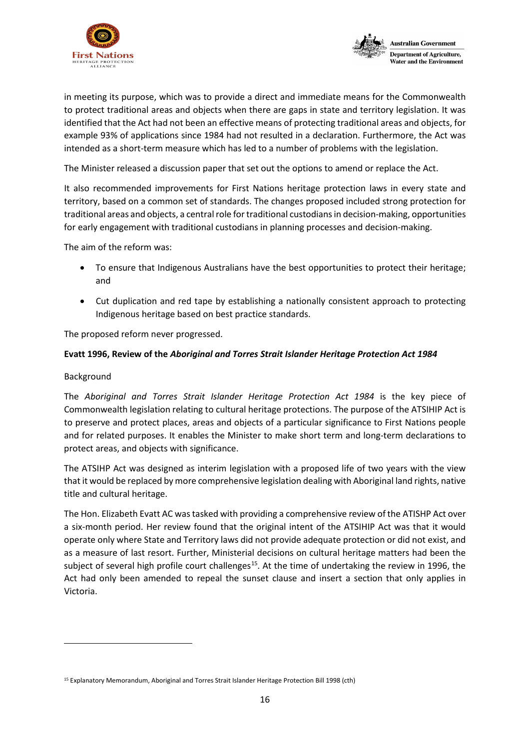



in meeting its purpose, which was to provide a direct and immediate means for the Commonwealth to protect traditional areas and objects when there are gaps in state and territory legislation. It was identified that the Act had not been an effective means of protecting traditional areas and objects, for example 93% of applications since 1984 had not resulted in a declaration. Furthermore, the Act was intended as a short-term measure which has led to a number of problems with the legislation.

The Minister released a discussion paper that set out the options to amend or replace the Act.

It also recommended improvements for First Nations heritage protection laws in every state and territory, based on a common set of standards. The changes proposed included strong protection for traditional areas and objects, a central role for traditional custodians in decision-making, opportunities for early engagement with traditional custodians in planning processes and decision-making.

The aim of the reform was:

- To ensure that Indigenous Australians have the best opportunities to protect their heritage; and
- Cut duplication and red tape by establishing a nationally consistent approach to protecting Indigenous heritage based on best practice standards.

The proposed reform never progressed.

# **Evatt 1996, Review of the** *Aboriginal and Torres Strait Islander Heritage Protection Act 1984*

# Background

The *Aboriginal and Torres Strait Islander Heritage Protection Act 1984* is the key piece of Commonwealth legislation relating to cultural heritage protections. The purpose of the ATSIHIP Act is to preserve and protect places, areas and objects of a particular significance to First Nations people and for related purposes. It enables the Minister to make short term and long-term declarations to protect areas, and objects with significance.

The ATSIHP Act was designed as interim legislation with a proposed life of two years with the view that it would be replaced by more comprehensive legislation dealing with Aboriginal land rights, native title and cultural heritage.

The Hon. Elizabeth Evatt AC was tasked with providing a comprehensive review of the ATISHP Act over a six-month period. Her review found that the original intent of the ATSIHIP Act was that it would operate only where State and Territory laws did not provide adequate protection or did not exist, and as a measure of last resort. Further, Ministerial decisions on cultural heritage matters had been the subject of several high profile court challenges<sup>[15](#page-15-0)</sup>. At the time of undertaking the review in 1996, the Act had only been amended to repeal the sunset clause and insert a section that only applies in Victoria.

<span id="page-15-0"></span><sup>15</sup> Explanatory Memorandum, Aboriginal and Torres Strait Islander Heritage Protection Bill 1998 (cth)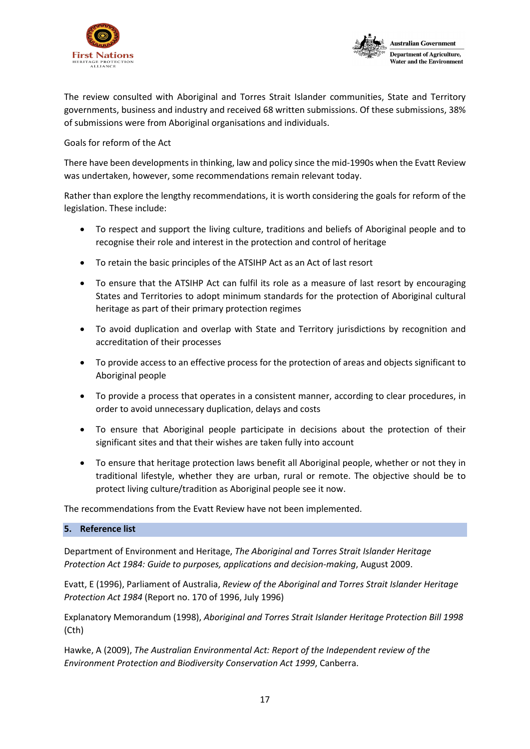



The review consulted with Aboriginal and Torres Strait Islander communities, State and Territory governments, business and industry and received 68 written submissions. Of these submissions, 38% of submissions were from Aboriginal organisations and individuals.

Goals for reform of the Act

There have been developments in thinking, law and policy since the mid-1990s when the Evatt Review was undertaken, however, some recommendations remain relevant today.

Rather than explore the lengthy recommendations, it is worth considering the goals for reform of the legislation. These include:

- To respect and support the living culture, traditions and beliefs of Aboriginal people and to recognise their role and interest in the protection and control of heritage
- To retain the basic principles of the ATSIHP Act as an Act of last resort
- To ensure that the ATSIHP Act can fulfil its role as a measure of last resort by encouraging States and Territories to adopt minimum standards for the protection of Aboriginal cultural heritage as part of their primary protection regimes
- To avoid duplication and overlap with State and Territory jurisdictions by recognition and accreditation of their processes
- To provide access to an effective process for the protection of areas and objects significant to Aboriginal people
- To provide a process that operates in a consistent manner, according to clear procedures, in order to avoid unnecessary duplication, delays and costs
- To ensure that Aboriginal people participate in decisions about the protection of their significant sites and that their wishes are taken fully into account
- To ensure that heritage protection laws benefit all Aboriginal people, whether or not they in traditional lifestyle, whether they are urban, rural or remote. The objective should be to protect living culture/tradition as Aboriginal people see it now.

The recommendations from the Evatt Review have not been implemented.

# **5. Reference list**

Department of Environment and Heritage, *The Aboriginal and Torres Strait Islander Heritage Protection Act 1984: Guide to purposes, applications and decision-making*, August 2009.

Evatt, E (1996), Parliament of Australia, *Review of the Aboriginal and Torres Strait Islander Heritage Protection Act 1984* (Report no. 170 of 1996, July 1996)

Explanatory Memorandum (1998), *Aboriginal and Torres Strait Islander Heritage Protection Bill 1998* (Cth)

Hawke, A (2009), *The Australian Environmental Act: Report of the Independent review of the Environment Protection and Biodiversity Conservation Act 1999*, Canberra.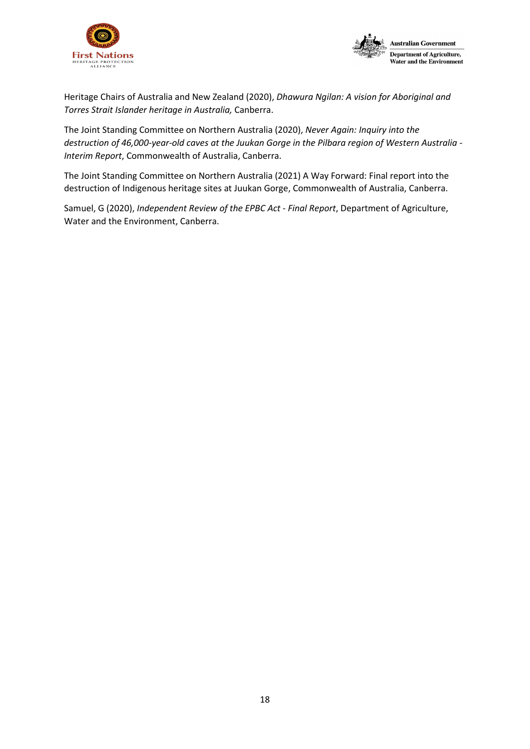



Heritage Chairs of Australia and New Zealand (2020), *Dhawura Ngilan: A vision for Aboriginal and Torres Strait Islander heritage in Australia,* Canberra.

The Joint Standing Committee on Northern Australia (2020), *Never Again: Inquiry into the destruction of 46,000-year-old caves at the Juukan Gorge in the Pilbara region of Western Australia - Interim Report*, Commonwealth of Australia, Canberra.

The Joint Standing Committee on Northern Australia (2021) A Way Forward: Final report into the destruction of Indigenous heritage sites at Juukan Gorge, Commonwealth of Australia, Canberra.

<span id="page-17-0"></span>Samuel, G (2020), *Independent Review of the EPBC Act - Final Report*, Department of Agriculture, Water and the Environment, Canberra.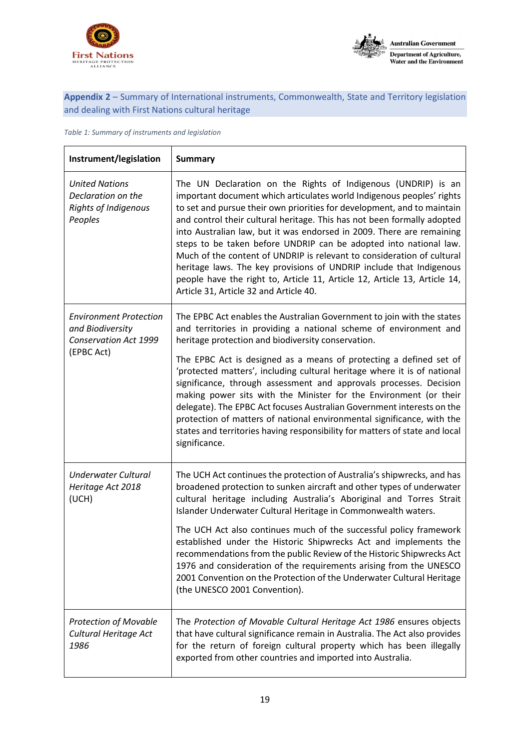



# **Appendix 2** – Summary of International instruments, Commonwealth, State and Territory legislation and dealing with First Nations cultural heritage

*Table 1: Summary of instruments and legislation*

| Instrument/legislation                                                                          | <b>Summary</b>                                                                                                                                                                                                                                                                                                                                                                                                                                                                                                                                                                                                                                                                                                     |
|-------------------------------------------------------------------------------------------------|--------------------------------------------------------------------------------------------------------------------------------------------------------------------------------------------------------------------------------------------------------------------------------------------------------------------------------------------------------------------------------------------------------------------------------------------------------------------------------------------------------------------------------------------------------------------------------------------------------------------------------------------------------------------------------------------------------------------|
| <b>United Nations</b><br>Declaration on the<br><b>Rights of Indigenous</b><br>Peoples           | The UN Declaration on the Rights of Indigenous (UNDRIP) is an<br>important document which articulates world Indigenous peoples' rights<br>to set and pursue their own priorities for development, and to maintain<br>and control their cultural heritage. This has not been formally adopted<br>into Australian law, but it was endorsed in 2009. There are remaining<br>steps to be taken before UNDRIP can be adopted into national law.<br>Much of the content of UNDRIP is relevant to consideration of cultural<br>heritage laws. The key provisions of UNDRIP include that Indigenous<br>people have the right to, Article 11, Article 12, Article 13, Article 14,<br>Article 31, Article 32 and Article 40. |
| <b>Environment Protection</b><br>and Biodiversity<br><b>Conservation Act 1999</b><br>(EPBC Act) | The EPBC Act enables the Australian Government to join with the states<br>and territories in providing a national scheme of environment and<br>heritage protection and biodiversity conservation.                                                                                                                                                                                                                                                                                                                                                                                                                                                                                                                  |
|                                                                                                 | The EPBC Act is designed as a means of protecting a defined set of<br>'protected matters', including cultural heritage where it is of national<br>significance, through assessment and approvals processes. Decision<br>making power sits with the Minister for the Environment (or their<br>delegate). The EPBC Act focuses Australian Government interests on the<br>protection of matters of national environmental significance, with the<br>states and territories having responsibility for matters of state and local<br>significance.                                                                                                                                                                      |
| <b>Underwater Cultural</b><br>Heritage Act 2018<br>(UCH)                                        | The UCH Act continues the protection of Australia's shipwrecks, and has<br>broadened protection to sunken aircraft and other types of underwater<br>cultural heritage including Australia's Aboriginal and Torres Strait<br>Islander Underwater Cultural Heritage in Commonwealth waters.                                                                                                                                                                                                                                                                                                                                                                                                                          |
|                                                                                                 | The UCH Act also continues much of the successful policy framework<br>established under the Historic Shipwrecks Act and implements the<br>recommendations from the public Review of the Historic Shipwrecks Act<br>1976 and consideration of the requirements arising from the UNESCO<br>2001 Convention on the Protection of the Underwater Cultural Heritage<br>(the UNESCO 2001 Convention).                                                                                                                                                                                                                                                                                                                    |
| <b>Protection of Movable</b><br>Cultural Heritage Act<br>1986                                   | The Protection of Movable Cultural Heritage Act 1986 ensures objects<br>that have cultural significance remain in Australia. The Act also provides<br>for the return of foreign cultural property which has been illegally<br>exported from other countries and imported into Australia.                                                                                                                                                                                                                                                                                                                                                                                                                           |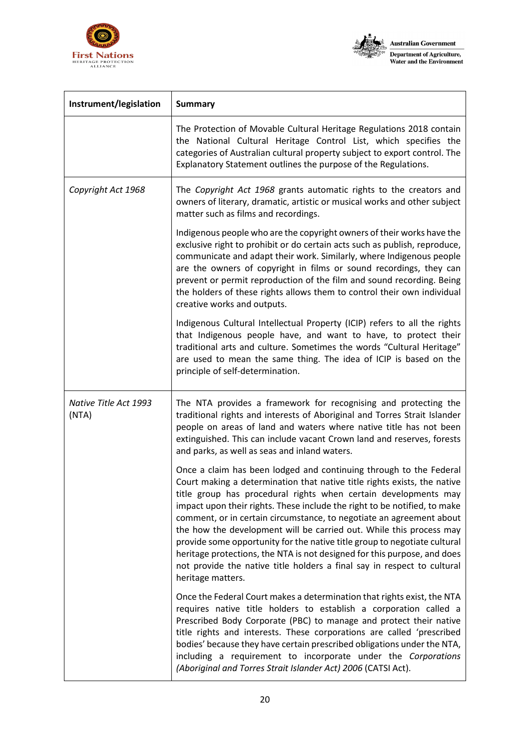



| Instrument/legislation         | <b>Summary</b>                                                                                                                                                                                                                                                                                                                                                                                                                                                                                                                                                                                                                                                                                         |
|--------------------------------|--------------------------------------------------------------------------------------------------------------------------------------------------------------------------------------------------------------------------------------------------------------------------------------------------------------------------------------------------------------------------------------------------------------------------------------------------------------------------------------------------------------------------------------------------------------------------------------------------------------------------------------------------------------------------------------------------------|
|                                | The Protection of Movable Cultural Heritage Regulations 2018 contain<br>the National Cultural Heritage Control List, which specifies the<br>categories of Australian cultural property subject to export control. The<br>Explanatory Statement outlines the purpose of the Regulations.                                                                                                                                                                                                                                                                                                                                                                                                                |
| Copyright Act 1968             | The Copyright Act 1968 grants automatic rights to the creators and<br>owners of literary, dramatic, artistic or musical works and other subject<br>matter such as films and recordings.                                                                                                                                                                                                                                                                                                                                                                                                                                                                                                                |
|                                | Indigenous people who are the copyright owners of their works have the<br>exclusive right to prohibit or do certain acts such as publish, reproduce,<br>communicate and adapt their work. Similarly, where Indigenous people<br>are the owners of copyright in films or sound recordings, they can<br>prevent or permit reproduction of the film and sound recording. Being<br>the holders of these rights allows them to control their own individual<br>creative works and outputs.                                                                                                                                                                                                                  |
|                                | Indigenous Cultural Intellectual Property (ICIP) refers to all the rights<br>that Indigenous people have, and want to have, to protect their<br>traditional arts and culture. Sometimes the words "Cultural Heritage"<br>are used to mean the same thing. The idea of ICIP is based on the<br>principle of self-determination.                                                                                                                                                                                                                                                                                                                                                                         |
| Native Title Act 1993<br>(NTA) | The NTA provides a framework for recognising and protecting the<br>traditional rights and interests of Aboriginal and Torres Strait Islander<br>people on areas of land and waters where native title has not been<br>extinguished. This can include vacant Crown land and reserves, forests<br>and parks, as well as seas and inland waters.                                                                                                                                                                                                                                                                                                                                                          |
|                                | Once a claim has been lodged and continuing through to the Federal<br>Court making a determination that native title rights exists, the native<br>title group has procedural rights when certain developments may<br>impact upon their rights. These include the right to be notified, to make<br>comment, or in certain circumstance, to negotiate an agreement about<br>the how the development will be carried out. While this process may<br>provide some opportunity for the native title group to negotiate cultural<br>heritage protections, the NTA is not designed for this purpose, and does<br>not provide the native title holders a final say in respect to cultural<br>heritage matters. |
|                                | Once the Federal Court makes a determination that rights exist, the NTA<br>requires native title holders to establish a corporation called a<br>Prescribed Body Corporate (PBC) to manage and protect their native<br>title rights and interests. These corporations are called 'prescribed<br>bodies' because they have certain prescribed obligations under the NTA,<br>including a requirement to incorporate under the Corporations<br>(Aboriginal and Torres Strait Islander Act) 2006 (CATSI Act).                                                                                                                                                                                               |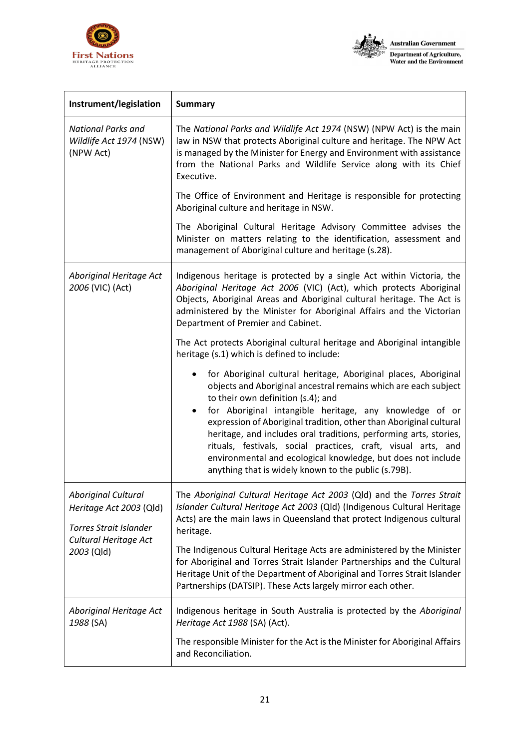



| Instrument/legislation                                                                                                        | <b>Summary</b>                                                                                                                                                                                                                                                                                                                                                                                                                                                                                                                                                                            |
|-------------------------------------------------------------------------------------------------------------------------------|-------------------------------------------------------------------------------------------------------------------------------------------------------------------------------------------------------------------------------------------------------------------------------------------------------------------------------------------------------------------------------------------------------------------------------------------------------------------------------------------------------------------------------------------------------------------------------------------|
| <b>National Parks and</b><br>Wildlife Act 1974 (NSW)<br>(NPW Act)                                                             | The National Parks and Wildlife Act 1974 (NSW) (NPW Act) is the main<br>law in NSW that protects Aboriginal culture and heritage. The NPW Act<br>is managed by the Minister for Energy and Environment with assistance<br>from the National Parks and Wildlife Service along with its Chief<br>Executive.                                                                                                                                                                                                                                                                                 |
|                                                                                                                               | The Office of Environment and Heritage is responsible for protecting<br>Aboriginal culture and heritage in NSW.                                                                                                                                                                                                                                                                                                                                                                                                                                                                           |
|                                                                                                                               | The Aboriginal Cultural Heritage Advisory Committee advises the<br>Minister on matters relating to the identification, assessment and<br>management of Aboriginal culture and heritage (s.28).                                                                                                                                                                                                                                                                                                                                                                                            |
| Aboriginal Heritage Act<br>2006 (VIC) (Act)                                                                                   | Indigenous heritage is protected by a single Act within Victoria, the<br>Aboriginal Heritage Act 2006 (VIC) (Act), which protects Aboriginal<br>Objects, Aboriginal Areas and Aboriginal cultural heritage. The Act is<br>administered by the Minister for Aboriginal Affairs and the Victorian<br>Department of Premier and Cabinet.                                                                                                                                                                                                                                                     |
|                                                                                                                               | The Act protects Aboriginal cultural heritage and Aboriginal intangible<br>heritage (s.1) which is defined to include:                                                                                                                                                                                                                                                                                                                                                                                                                                                                    |
|                                                                                                                               | for Aboriginal cultural heritage, Aboriginal places, Aboriginal<br>٠<br>objects and Aboriginal ancestral remains which are each subject<br>to their own definition (s.4); and<br>for Aboriginal intangible heritage, any knowledge of or<br>$\bullet$<br>expression of Aboriginal tradition, other than Aboriginal cultural<br>heritage, and includes oral traditions, performing arts, stories,<br>rituals, festivals, social practices, craft, visual arts, and<br>environmental and ecological knowledge, but does not include<br>anything that is widely known to the public (s.79B). |
| <b>Aboriginal Cultural</b><br>Heritage Act 2003 (Qld)<br><b>Torres Strait Islander</b><br>Cultural Heritage Act<br>2003 (Qld) | The <i>Aboriginal Cultural Heritage Act 2003</i> (Qld) and the <i>Torres Strait</i><br>Islander Cultural Heritage Act 2003 (Qld) (Indigenous Cultural Heritage<br>Acts) are the main laws in Queensland that protect Indigenous cultural<br>heritage.                                                                                                                                                                                                                                                                                                                                     |
|                                                                                                                               | The Indigenous Cultural Heritage Acts are administered by the Minister<br>for Aboriginal and Torres Strait Islander Partnerships and the Cultural<br>Heritage Unit of the Department of Aboriginal and Torres Strait Islander<br>Partnerships (DATSIP). These Acts largely mirror each other.                                                                                                                                                                                                                                                                                             |
| Aboriginal Heritage Act<br>1988 (SA)                                                                                          | Indigenous heritage in South Australia is protected by the Aboriginal<br>Heritage Act 1988 (SA) (Act).                                                                                                                                                                                                                                                                                                                                                                                                                                                                                    |
|                                                                                                                               | The responsible Minister for the Act is the Minister for Aboriginal Affairs<br>and Reconciliation.                                                                                                                                                                                                                                                                                                                                                                                                                                                                                        |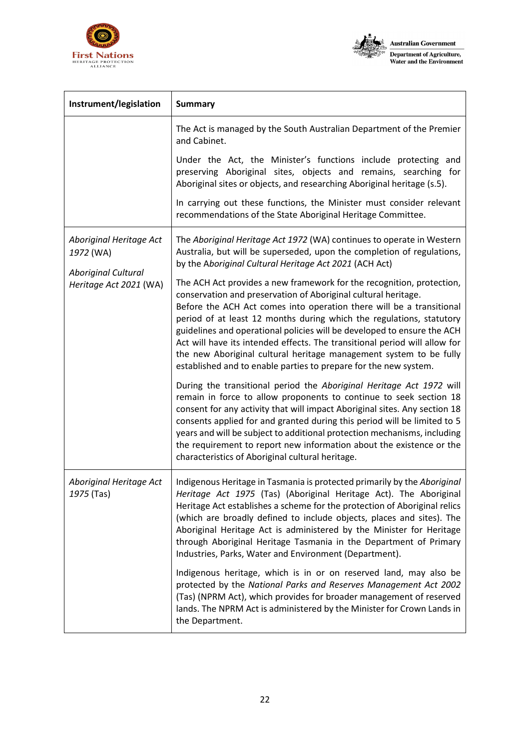



| Instrument/legislation                                                                       | <b>Summary</b>                                                                                                                                                                                                                                                                                                                                                                                                                                                                                                                                                                             |
|----------------------------------------------------------------------------------------------|--------------------------------------------------------------------------------------------------------------------------------------------------------------------------------------------------------------------------------------------------------------------------------------------------------------------------------------------------------------------------------------------------------------------------------------------------------------------------------------------------------------------------------------------------------------------------------------------|
|                                                                                              | The Act is managed by the South Australian Department of the Premier<br>and Cabinet.                                                                                                                                                                                                                                                                                                                                                                                                                                                                                                       |
|                                                                                              | Under the Act, the Minister's functions include protecting and<br>preserving Aboriginal sites, objects and remains, searching for<br>Aboriginal sites or objects, and researching Aboriginal heritage (s.5).                                                                                                                                                                                                                                                                                                                                                                               |
|                                                                                              | In carrying out these functions, the Minister must consider relevant<br>recommendations of the State Aboriginal Heritage Committee.                                                                                                                                                                                                                                                                                                                                                                                                                                                        |
| Aboriginal Heritage Act<br>1972 (WA)<br><b>Aboriginal Cultural</b><br>Heritage Act 2021 (WA) | The Aboriginal Heritage Act 1972 (WA) continues to operate in Western<br>Australia, but will be superseded, upon the completion of regulations,<br>by the Aboriginal Cultural Heritage Act 2021 (ACH Act)                                                                                                                                                                                                                                                                                                                                                                                  |
|                                                                                              | The ACH Act provides a new framework for the recognition, protection,<br>conservation and preservation of Aboriginal cultural heritage.<br>Before the ACH Act comes into operation there will be a transitional<br>period of at least 12 months during which the regulations, statutory<br>guidelines and operational policies will be developed to ensure the ACH<br>Act will have its intended effects. The transitional period will allow for<br>the new Aboriginal cultural heritage management system to be fully<br>established and to enable parties to prepare for the new system. |
|                                                                                              | During the transitional period the Aboriginal Heritage Act 1972 will<br>remain in force to allow proponents to continue to seek section 18<br>consent for any activity that will impact Aboriginal sites. Any section 18<br>consents applied for and granted during this period will be limited to 5<br>years and will be subject to additional protection mechanisms, including<br>the requirement to report new information about the existence or the<br>characteristics of Aboriginal cultural heritage.                                                                               |
| Aboriginal Heritage Act<br>1975 (Tas)                                                        | Indigenous Heritage in Tasmania is protected primarily by the Aboriginal<br>Heritage Act 1975 (Tas) (Aboriginal Heritage Act). The Aboriginal<br>Heritage Act establishes a scheme for the protection of Aboriginal relics<br>(which are broadly defined to include objects, places and sites). The<br>Aboriginal Heritage Act is administered by the Minister for Heritage<br>through Aboriginal Heritage Tasmania in the Department of Primary<br>Industries, Parks, Water and Environment (Department).                                                                                 |
|                                                                                              | Indigenous heritage, which is in or on reserved land, may also be<br>protected by the National Parks and Reserves Management Act 2002<br>(Tas) (NPRM Act), which provides for broader management of reserved<br>lands. The NPRM Act is administered by the Minister for Crown Lands in<br>the Department.                                                                                                                                                                                                                                                                                  |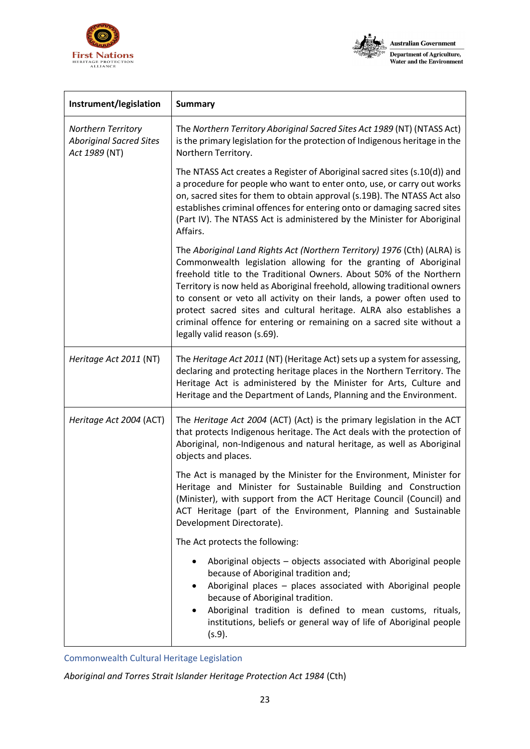



| Instrument/legislation                                                | <b>Summary</b>                                                                                                                                                                                                                                                                                                                                                                                                                                                                                                                                            |
|-----------------------------------------------------------------------|-----------------------------------------------------------------------------------------------------------------------------------------------------------------------------------------------------------------------------------------------------------------------------------------------------------------------------------------------------------------------------------------------------------------------------------------------------------------------------------------------------------------------------------------------------------|
| Northern Territory<br><b>Aboriginal Sacred Sites</b><br>Act 1989 (NT) | The Northern Territory Aboriginal Sacred Sites Act 1989 (NT) (NTASS Act)<br>is the primary legislation for the protection of Indigenous heritage in the<br>Northern Territory.                                                                                                                                                                                                                                                                                                                                                                            |
|                                                                       | The NTASS Act creates a Register of Aboriginal sacred sites (s.10(d)) and<br>a procedure for people who want to enter onto, use, or carry out works<br>on, sacred sites for them to obtain approval (s.19B). The NTASS Act also<br>establishes criminal offences for entering onto or damaging sacred sites<br>(Part IV). The NTASS Act is administered by the Minister for Aboriginal<br>Affairs.                                                                                                                                                        |
|                                                                       | The Aboriginal Land Rights Act (Northern Territory) 1976 (Cth) (ALRA) is<br>Commonwealth legislation allowing for the granting of Aboriginal<br>freehold title to the Traditional Owners. About 50% of the Northern<br>Territory is now held as Aboriginal freehold, allowing traditional owners<br>to consent or veto all activity on their lands, a power often used to<br>protect sacred sites and cultural heritage. ALRA also establishes a<br>criminal offence for entering or remaining on a sacred site without a<br>legally valid reason (s.69). |
| Heritage Act 2011 (NT)                                                | The Heritage Act 2011 (NT) (Heritage Act) sets up a system for assessing,<br>declaring and protecting heritage places in the Northern Territory. The<br>Heritage Act is administered by the Minister for Arts, Culture and<br>Heritage and the Department of Lands, Planning and the Environment.                                                                                                                                                                                                                                                         |
| Heritage Act 2004 (ACT)                                               | The Heritage Act 2004 (ACT) (Act) is the primary legislation in the ACT<br>that protects Indigenous heritage. The Act deals with the protection of<br>Aboriginal, non-Indigenous and natural heritage, as well as Aboriginal<br>objects and places.                                                                                                                                                                                                                                                                                                       |
|                                                                       | The Act is managed by the Minister for the Environment, Minister for<br>Heritage and Minister for Sustainable Building and Construction<br>(Minister), with support from the ACT Heritage Council (Council) and<br>ACT Heritage (part of the Environment, Planning and Sustainable<br>Development Directorate).                                                                                                                                                                                                                                           |
|                                                                       | The Act protects the following:                                                                                                                                                                                                                                                                                                                                                                                                                                                                                                                           |
|                                                                       | Aboriginal objects - objects associated with Aboriginal people<br>because of Aboriginal tradition and;<br>Aboriginal places - places associated with Aboriginal people<br>because of Aboriginal tradition.<br>Aboriginal tradition is defined to mean customs, rituals,<br>institutions, beliefs or general way of life of Aboriginal people<br>(s.9).                                                                                                                                                                                                    |

Commonwealth Cultural Heritage Legislation

*Aboriginal and Torres Strait Islander Heritage Protection Act 1984* (Cth)